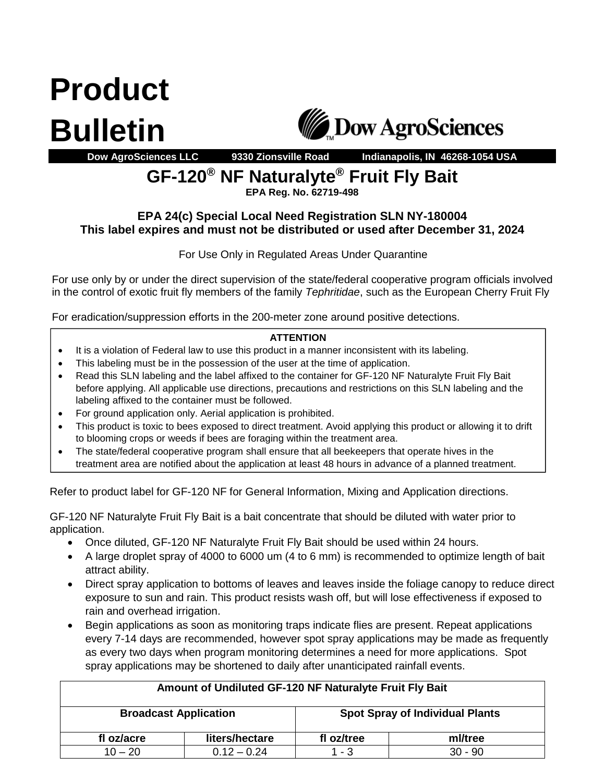**Product Bulletin**



**Dow AgroSciences LLC 9330 Zionsville Road Indianapolis, IN 46268-1054 USA**

## **GF-120® NF Naturalyte® Fruit Fly Bait**

**EPA Reg. No. 62719-498**

## **EPA 24(c) Special Local Need Registration SLN NY-180004 This label expires and must not be distributed or used after December 31, 2024**

For Use Only in Regulated Areas Under Quarantine

For use only by or under the direct supervision of the state/federal cooperative program officials involved in the control of exotic fruit fly members of the family *Tephritidae*, such as the European Cherry Fruit Fly

For eradication/suppression efforts in the 200-meter zone around positive detections.

## **ATTENTION**

- It is a violation of Federal law to use this product in a manner inconsistent with its labeling.
- This labeling must be in the possession of the user at the time of application.
- Read this SLN labeling and the label affixed to the container for GF-120 NF Naturalyte Fruit Fly Bait before applying. All applicable use directions, precautions and restrictions on this SLN labeling and the labeling affixed to the container must be followed.
- For ground application only. Aerial application is prohibited.
- This product is toxic to bees exposed to direct treatment. Avoid applying this product or allowing it to drift to blooming crops or weeds if bees are foraging within the treatment area.
- **•** The state/federal cooperative program shall ensure that all beekeepers that operate hives in the treatment area are notified about the application at least 48 hours in advance of a planned treatment.

Refer to product label for GF-120 NF for General Information, Mixing and Application directions.

GF-120 NF Naturalyte Fruit Fly Bait is a bait concentrate that should be diluted with water prior to application.

- Once diluted, GF-120 NF Naturalyte Fruit Fly Bait should be used within 24 hours.
- A large droplet spray of 4000 to 6000 um (4 to 6 mm) is recommended to optimize length of bait attract ability.
- Direct spray application to bottoms of leaves and leaves inside the foliage canopy to reduce direct exposure to sun and rain. This product resists wash off, but will lose effectiveness if exposed to rain and overhead irrigation.
- Begin applications as soon as monitoring traps indicate flies are present. Repeat applications every 7-14 days are recommended, however spot spray applications may be made as frequently as every two days when program monitoring determines a need for more applications. Spot spray applications may be shortened to daily after unanticipated rainfall events.

| Amount of Undiluted GF-120 NF Naturalyte Fruit Fly Bait |                |                                        |           |  |  |  |  |  |
|---------------------------------------------------------|----------------|----------------------------------------|-----------|--|--|--|--|--|
| <b>Broadcast Application</b>                            |                | <b>Spot Spray of Individual Plants</b> |           |  |  |  |  |  |
| fl oz/acre                                              | liters/hectare | fl oz/tree                             | ml/tree   |  |  |  |  |  |
| $10 - 20$                                               | $0.12 - 0.24$  | $1 - 3$                                | $30 - 90$ |  |  |  |  |  |